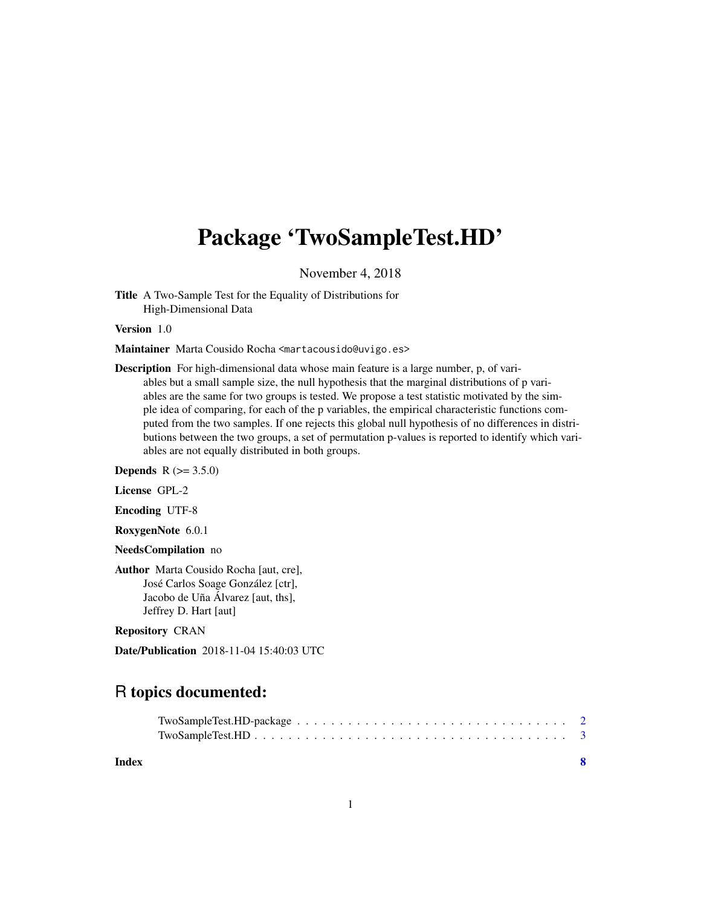## Package 'TwoSampleTest.HD'

November 4, 2018

Title A Two-Sample Test for the Equality of Distributions for High-Dimensional Data

Version 1.0

Maintainer Marta Cousido Rocha <martacousido@uvigo.es>

Description For high-dimensional data whose main feature is a large number, p, of variables but a small sample size, the null hypothesis that the marginal distributions of p variables are the same for two groups is tested. We propose a test statistic motivated by the simple idea of comparing, for each of the p variables, the empirical characteristic functions computed from the two samples. If one rejects this global null hypothesis of no differences in distributions between the two groups, a set of permutation p-values is reported to identify which variables are not equally distributed in both groups.

**Depends**  $R (= 3.5.0)$ 

License GPL-2

Encoding UTF-8

RoxygenNote 6.0.1

NeedsCompilation no

Author Marta Cousido Rocha [aut, cre], José Carlos Soage González [ctr], Jacobo de Uña Álvarez [aut, ths], Jeffrey D. Hart [aut]

Repository CRAN

Date/Publication 2018-11-04 15:40:03 UTC

### R topics documented:

| Index |  |
|-------|--|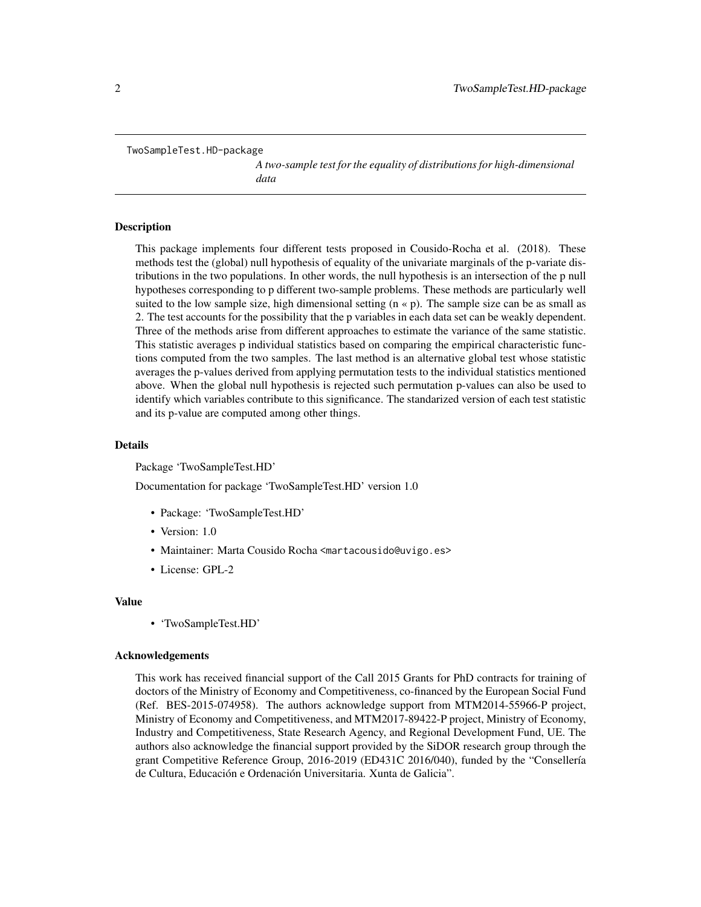```
TwoSampleTest.HD-package
```
*A two-sample test for the equality of distributions for high-dimensional data*

#### Description

This package implements four different tests proposed in Cousido-Rocha et al. (2018). These methods test the (global) null hypothesis of equality of the univariate marginals of the p-variate distributions in the two populations. In other words, the null hypothesis is an intersection of the p null hypotheses corresponding to p different two-sample problems. These methods are particularly well suited to the low sample size, high dimensional setting  $(n \times p)$ . The sample size can be as small as 2. The test accounts for the possibility that the p variables in each data set can be weakly dependent. Three of the methods arise from different approaches to estimate the variance of the same statistic. This statistic averages p individual statistics based on comparing the empirical characteristic functions computed from the two samples. The last method is an alternative global test whose statistic averages the p-values derived from applying permutation tests to the individual statistics mentioned above. When the global null hypothesis is rejected such permutation p-values can also be used to identify which variables contribute to this significance. The standarized version of each test statistic and its p-value are computed among other things.

#### Details

Package 'TwoSampleTest.HD'

Documentation for package 'TwoSampleTest.HD' version 1.0

- Package: 'TwoSampleTest.HD'
- Version: 1.0
- Maintainer: Marta Cousido Rocha <martacousido@uvigo.es>
- License: GPL-2

#### Value

• 'TwoSampleTest.HD'

#### Acknowledgements

This work has received financial support of the Call 2015 Grants for PhD contracts for training of doctors of the Ministry of Economy and Competitiveness, co-financed by the European Social Fund (Ref. BES-2015-074958). The authors acknowledge support from MTM2014-55966-P project, Ministry of Economy and Competitiveness, and MTM2017-89422-P project, Ministry of Economy, Industry and Competitiveness, State Research Agency, and Regional Development Fund, UE. The authors also acknowledge the financial support provided by the SiDOR research group through the grant Competitive Reference Group, 2016-2019 (ED431C 2016/040), funded by the "Consellería de Cultura, Educación e Ordenación Universitaria. Xunta de Galicia".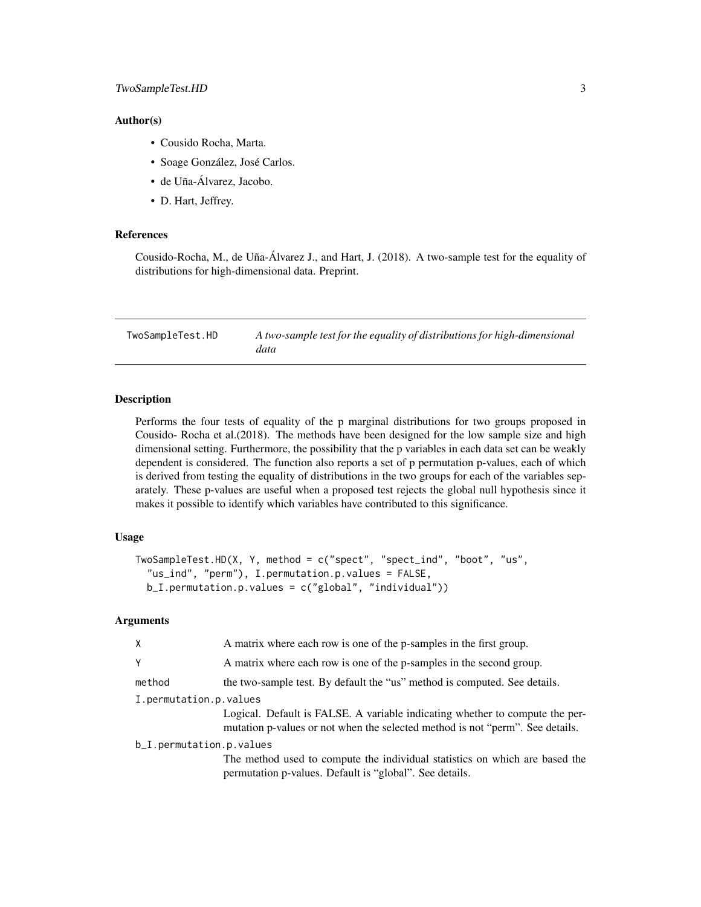#### <span id="page-2-0"></span>Author(s)

- Cousido Rocha, Marta.
- Soage González, José Carlos.
- de Uña-Álvarez, Jacobo.
- D. Hart, Jeffrey.

#### References

Cousido-Rocha, M., de Uña-Álvarez J., and Hart, J. (2018). A two-sample test for the equality of distributions for high-dimensional data. Preprint.

TwoSampleTest.HD *A two-sample test for the equality of distributions for high-dimensional data*

#### **Description**

Performs the four tests of equality of the p marginal distributions for two groups proposed in Cousido- Rocha et al.(2018). The methods have been designed for the low sample size and high dimensional setting. Furthermore, the possibility that the p variables in each data set can be weakly dependent is considered. The function also reports a set of p permutation p-values, each of which is derived from testing the equality of distributions in the two groups for each of the variables separately. These p-values are useful when a proposed test rejects the global null hypothesis since it makes it possible to identify which variables have contributed to this significance.

#### Usage

```
TwoSampleTest.HD(X, Y, method = c("spect", "spect_ind", "boot", "us",
  "us_ind", "perm"), I.permutation.p.values = FALSE,
 b_I.permutation.p.values = c("global", "individual")
```
#### Arguments

| X                        | A matrix where each row is one of the p-samples in the first group.                                                                                           |
|--------------------------|---------------------------------------------------------------------------------------------------------------------------------------------------------------|
| Υ                        | A matrix where each row is one of the p-samples in the second group.                                                                                          |
| method                   | the two-sample test. By default the "us" method is computed. See details.                                                                                     |
| I.permutation.p.values   |                                                                                                                                                               |
|                          | Logical. Default is FALSE. A variable indicating whether to compute the per-<br>mutation p-values or not when the selected method is not "perm". See details. |
| b_I.permutation.p.values |                                                                                                                                                               |
|                          | The method used to compute the individual statistics on which are based the<br>permutation p-values. Default is "global". See details.                        |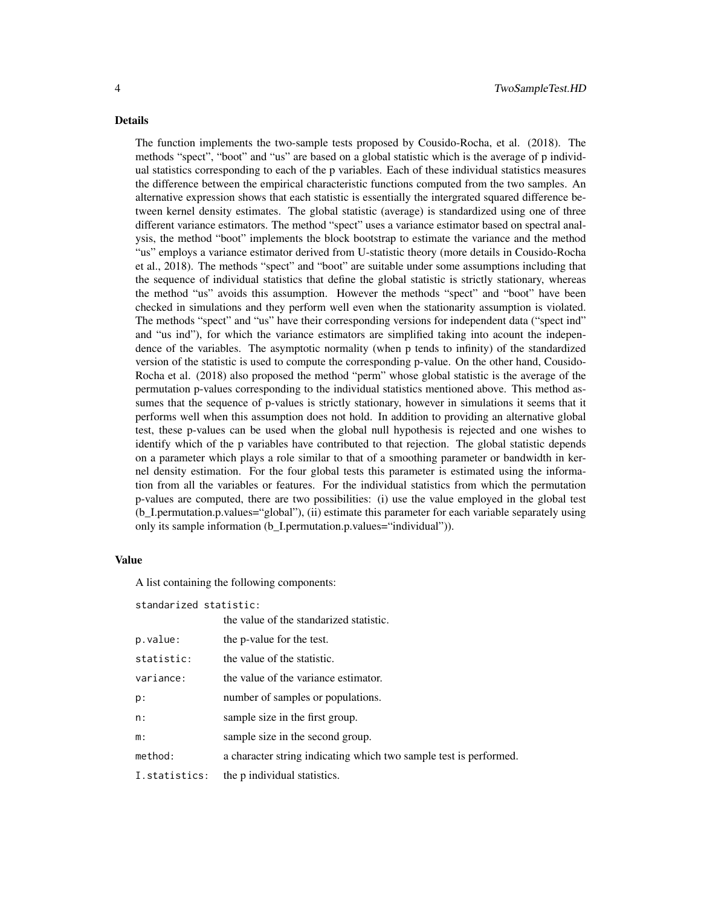#### Details

The function implements the two-sample tests proposed by Cousido-Rocha, et al. (2018). The methods "spect", "boot" and "us" are based on a global statistic which is the average of p individual statistics corresponding to each of the p variables. Each of these individual statistics measures the difference between the empirical characteristic functions computed from the two samples. An alternative expression shows that each statistic is essentially the intergrated squared difference between kernel density estimates. The global statistic (average) is standardized using one of three different variance estimators. The method "spect" uses a variance estimator based on spectral analysis, the method "boot" implements the block bootstrap to estimate the variance and the method "us" employs a variance estimator derived from U-statistic theory (more details in Cousido-Rocha et al., 2018). The methods "spect" and "boot" are suitable under some assumptions including that the sequence of individual statistics that define the global statistic is strictly stationary, whereas the method "us" avoids this assumption. However the methods "spect" and "boot" have been checked in simulations and they perform well even when the stationarity assumption is violated. The methods "spect" and "us" have their corresponding versions for independent data ("spect ind" and "us ind"), for which the variance estimators are simplified taking into acount the independence of the variables. The asymptotic normality (when p tends to infinity) of the standardized version of the statistic is used to compute the corresponding p-value. On the other hand, Cousido-Rocha et al. (2018) also proposed the method "perm" whose global statistic is the average of the permutation p-values corresponding to the individual statistics mentioned above. This method assumes that the sequence of p-values is strictly stationary, however in simulations it seems that it performs well when this assumption does not hold. In addition to providing an alternative global test, these p-values can be used when the global null hypothesis is rejected and one wishes to identify which of the p variables have contributed to that rejection. The global statistic depends on a parameter which plays a role similar to that of a smoothing parameter or bandwidth in kernel density estimation. For the four global tests this parameter is estimated using the information from all the variables or features. For the individual statistics from which the permutation p-values are computed, there are two possibilities: (i) use the value employed in the global test (b\_I.permutation.p.values="global"), (ii) estimate this parameter for each variable separately using only its sample information (b\_I.permutation.p.values="individual")).

#### Value

A list containing the following components:

standarized statistic:

|               | the value of the standarized statistic.                           |
|---------------|-------------------------------------------------------------------|
| p.value:      | the p-value for the test.                                         |
| statistic:    | the value of the statistic.                                       |
| variance:     | the value of the variance estimator.                              |
| p:            | number of samples or populations.                                 |
| n:            | sample size in the first group.                                   |
| m:            | sample size in the second group.                                  |
| method:       | a character string indicating which two sample test is performed. |
| I.statistics: | the p individual statistics.                                      |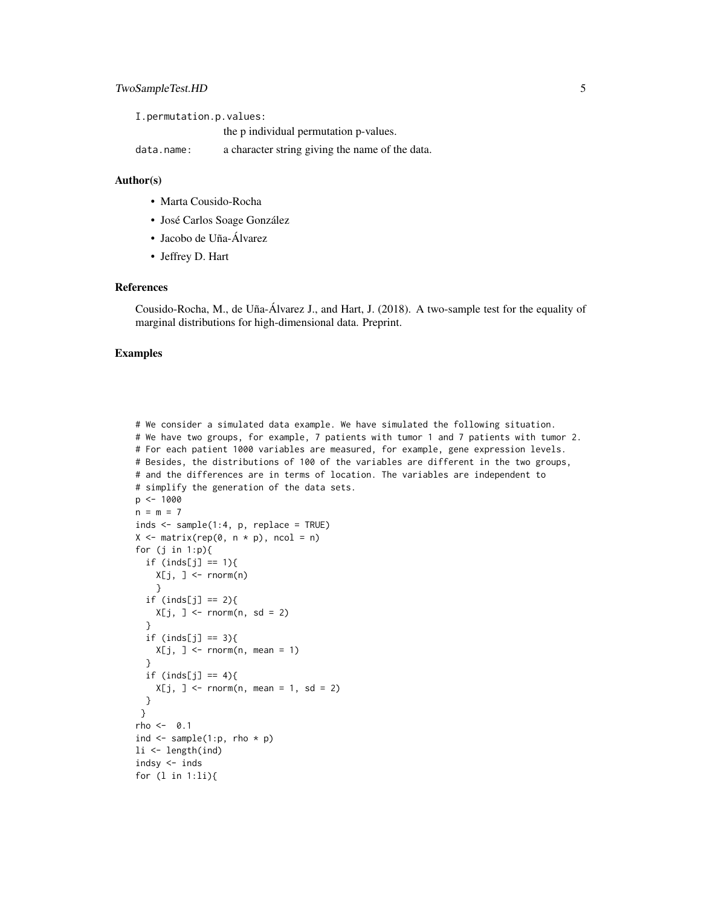I.permutation.p.values: the p individual permutation p-values.

data.name: a character string giving the name of the data.

#### Author(s)

- Marta Cousido-Rocha
- José Carlos Soage González
- Jacobo de Uña-Álvarez
- Jeffrey D. Hart

#### References

Cousido-Rocha, M., de Uña-Álvarez J., and Hart, J. (2018). A two-sample test for the equality of marginal distributions for high-dimensional data. Preprint.

#### Examples

```
# We consider a simulated data example. We have simulated the following situation.
# We have two groups, for example, 7 patients with tumor 1 and 7 patients with tumor 2.
# For each patient 1000 variables are measured, for example, gene expression levels.
# Besides, the distributions of 100 of the variables are different in the two groups,
# and the differences are in terms of location. The variables are independent to
# simplify the generation of the data sets.
p \le -1000n = m = 7inds <- sample(1:4, p, replace = TRUE)
X \leq - matrix(rep(0, n * p), ncol = n)
for (j in 1:p)if (inds[j] == 1){
    X[j, ] \leftarrow \text{norm}(n)}
  if (inds[j] == 2){
    X[j, ] \leftarrow \text{norm}(n, sd = 2)}
  if (inds[j] == 3){
    X[j, ] \le- rnorm(n, \text{ mean } = 1)}
  if (inds[j] == 4){
    X[j, ] \le rnorm(n, mean = 1, sd = 2)
  }
 }
rho < - 0.1ind \leq sample(1:p, rho * p)
li <- length(ind)
indsy <- inds
for (l in 1:li){
```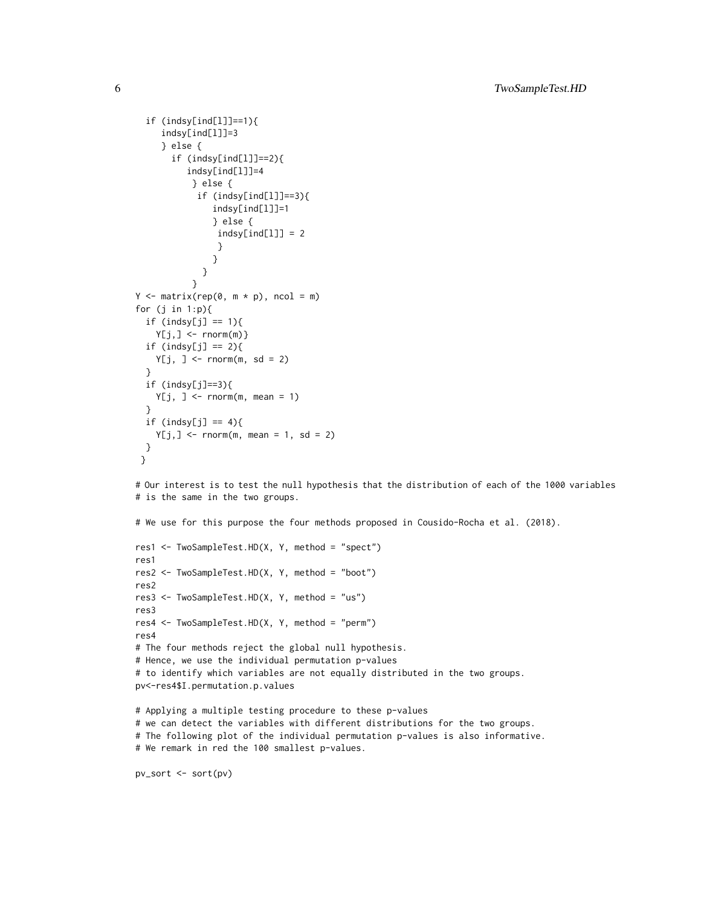```
if (indsy[ind[l]]==1){
     indsy[ind[l]]=3
     } else {
       if (indsy[ind[l]]==2){
          indsy[ind[l]]=4
           } else {
            if (indsy[ind[l]]==3){
               indsy[ind[l]]=1
               } else {
                indsy[ind[1]] = 2}
               }
             }
           }
Y \le - matrix(rep(0, m * p), ncol = m)
for (j in 1:p){
 if (indsy[j] == 1){Y[j, ] \leftarrow \text{norm}(m)if (indsy[j] == 2){
   Y[j, ] \le rnorm(m, sd = 2)}
 if (indsy[j]=3){Y[j, ] \le rnorm(m, mean = 1)
 }
 if (indsy[j] == 4){
    Y[j, ] \le rnorm(m, mean = 1, sd = 2)
 }
}
```
# Our interest is to test the null hypothesis that the distribution of each of the 1000 variables # is the same in the two groups.

# We use for this purpose the four methods proposed in Cousido-Rocha et al. (2018).

```
res1 <- TwoSampleTest.HD(X, Y, method = "spect")
res1
res2 <- TwoSampleTest.HD(X, Y, method = "boot")
res2
res3 <- TwoSampleTest.HD(X, Y, method = "us")
res3
res4 <- TwoSampleTest.HD(X, Y, method = "perm")
res4
# The four methods reject the global null hypothesis.
# Hence, we use the individual permutation p-values
# to identify which variables are not equally distributed in the two groups.
pv<-res4$I.permutation.p.values
# Applying a multiple testing procedure to these p-values
# we can detect the variables with different distributions for the two groups.
# The following plot of the individual permutation p-values is also informative.
# We remark in red the 100 smallest p-values.
```

```
pv_sort <- sort(pv)
```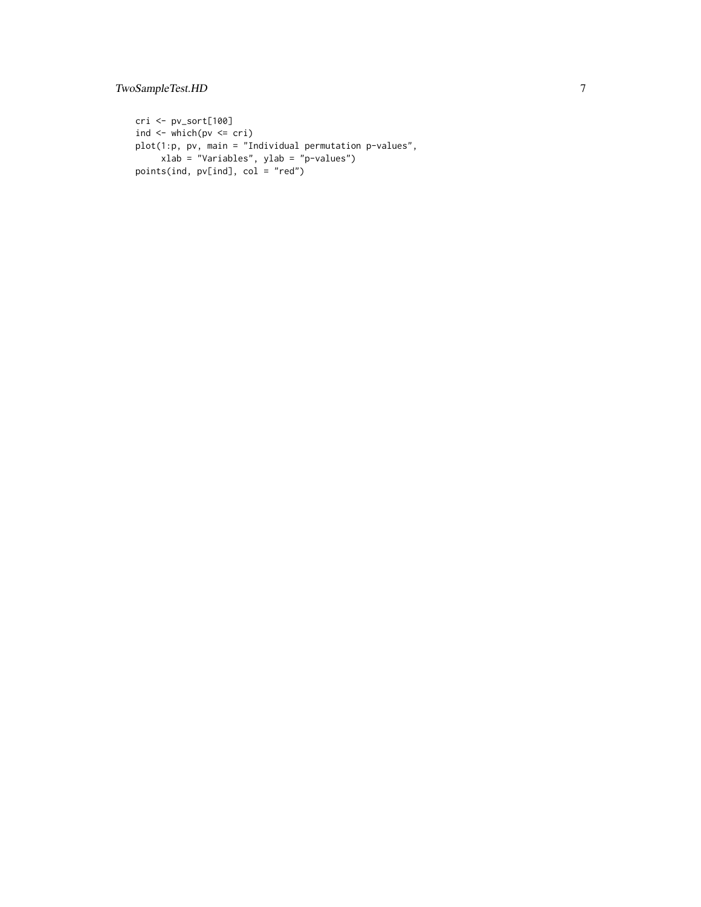cri <- pv\_sort[100] ind  $\leftarrow$  which(pv  $\leftarrow$  cri) plot(1:p, pv, main = "Individual permutation p-values", xlab = "Variables", ylab = "p-values") points(ind, pv[ind], col = "red")